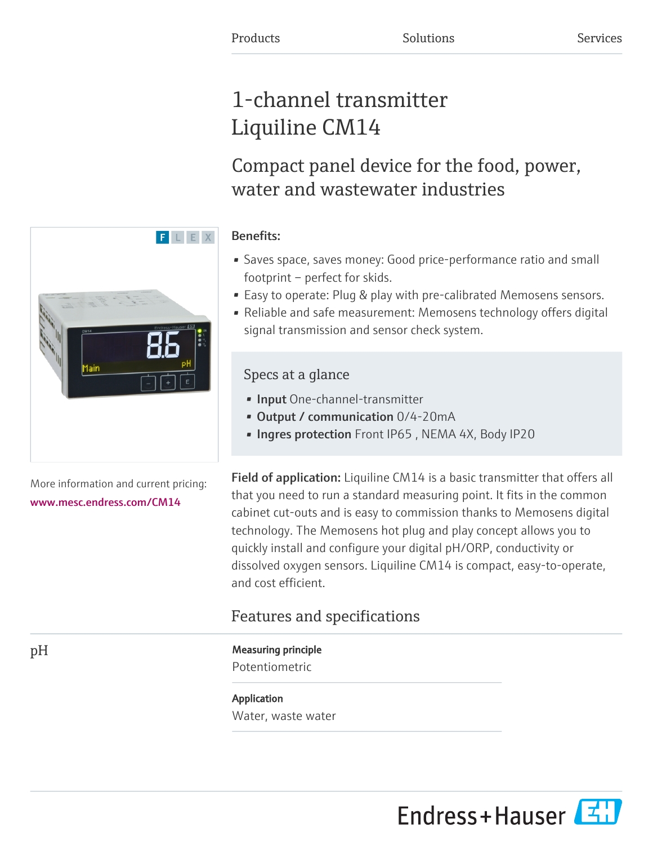# 1-channel transmitter Liquiline CM14

Compact panel device for the food, power, water and wastewater industries

# Benefits:

F L E X

- Saves space, saves money: Good price-performance ratio and small footprint – perfect for skids.
- Easy to operate: Plug & play with pre-calibrated Memosens sensors.
- Reliable and safe measurement: Memosens technology offers digital signal transmission and sensor check system.

# Specs at a glance

- Input One-channel-transmitter
- Output / communication 0/4-20mA
- Ingres protection Front IP65, NEMA 4X, Body IP20

Field of application: Liquiline CM14 is a basic transmitter that offers all that you need to run a standard measuring point. It fits in the common cabinet cut-outs and is easy to commission thanks to Memosens digital technology. The Memosens hot plug and play concept allows you to quickly install and configure your digital pH/ORP, conductivity or dissolved oxygen sensors. Liquiline CM14 is compact, easy-to-operate, and cost efficient.

# Features and specifications

# pH Measuring principle

Potentiometric

Application Water, waste water



More information and current pricing: [www.mesc.endress.com/CM14](https://www.mesc.endress.com/CM14)

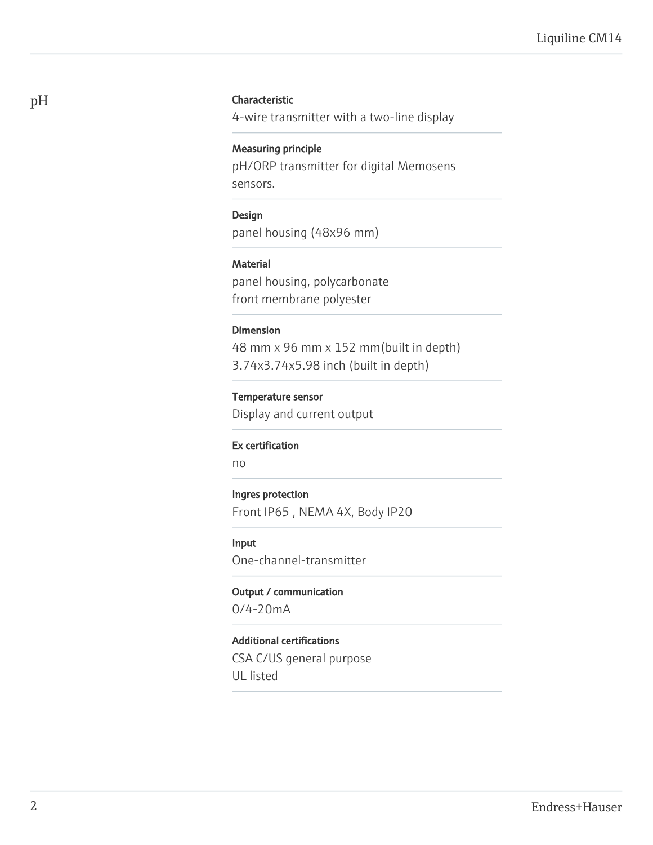# pH Characteristic

4-wire transmitter with a two-line display

# Measuring principle

pH/ORP transmitter for digital Memosens sensors.

# Design

panel housing (48x96 mm)

# Material

panel housing, polycarbonate front membrane polyester

### Dimension

48 mm x 96 mm x 152 mm(built in depth) 3.74x3.74x5.98 inch (built in depth)

# Temperature sensor

Display and current output

### Ex certification

no

### Ingres protection

Front IP65 , NEMA 4X, Body IP20

# Input

One-channel-transmitter

# Output / communication

0/4-20mA

# Additional certifications

CSA C/US general purpose UL listed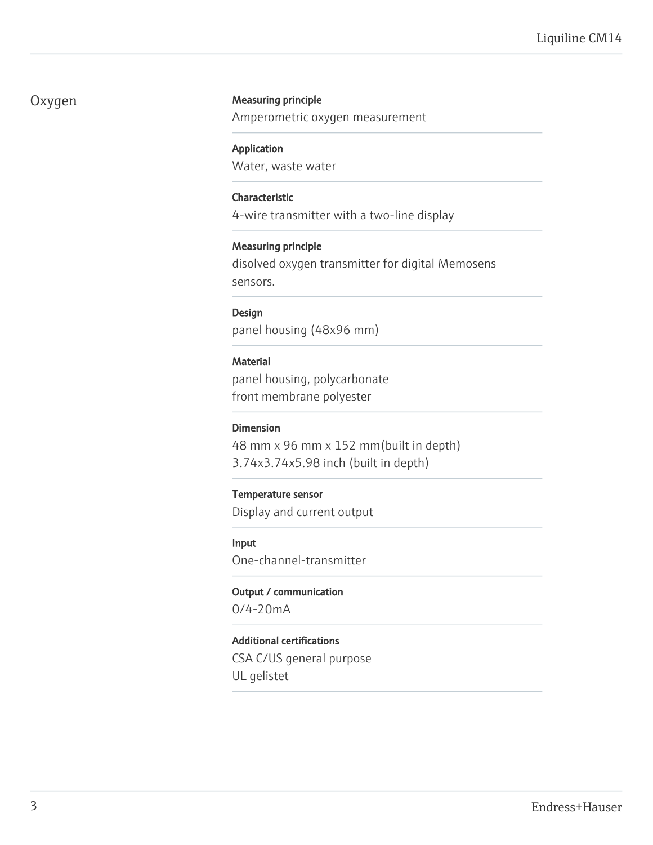# Oxygen Measuring principle

Amperometric oxygen measurement

## Application

Water, waste water

# Characteristic

4-wire transmitter with a two-line display

# Measuring principle

disolved oxygen transmitter for digital Memosens sensors.

# Design

panel housing (48x96 mm)

# **Material**

panel housing, polycarbonate front membrane polyester

# Dimension

48 mm x 96 mm x 152 mm(built in depth) 3.74x3.74x5.98 inch (built in depth)

# Temperature sensor

Display and current output

# Input

One-channel-transmitter

# Output / communication

0/4-20mA

# Additional certifications

CSA C/US general purpose UL gelistet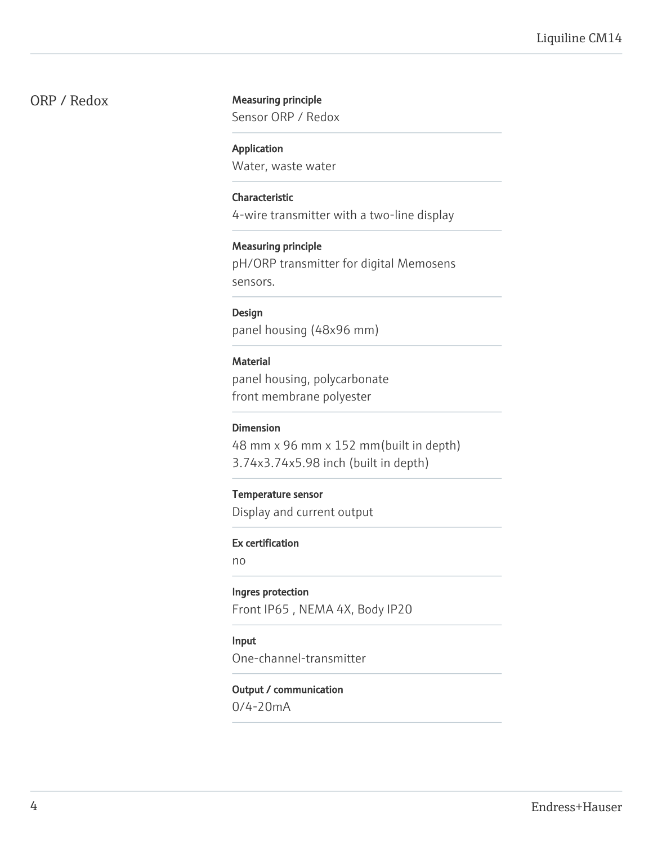# ORP / Redox Measuring principle

Sensor ORP / Redox

### Application

Water, waste water

## Characteristic

4-wire transmitter with a two-line display

## Measuring principle

pH/ORP transmitter for digital Memosens sensors.

# Design

panel housing (48x96 mm)

# **Material**

panel housing, polycarbonate front membrane polyester

# Dimension

48 mm x 96 mm x 152 mm(built in depth) 3.74x3.74x5.98 inch (built in depth)

# Temperature sensor

Display and current output

## Ex certification

no

# Ingres protection

Front IP65 , NEMA 4X, Body IP20

# Input

One-channel-transmitter

# Output / communication

0/4-20mA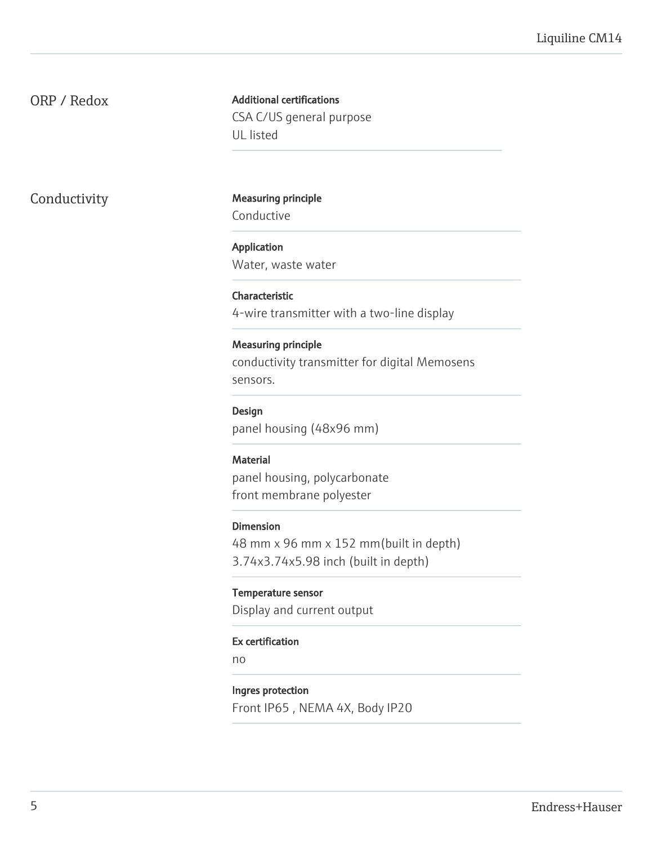# ORP / Redox

Additional certifications CSA C/US general purpose UL listed

Conductivity Measuring principle Conductive

> Application Water, waste water

# Characteristic

4-wire transmitter with a two-line display

## Measuring principle

conductivity transmitter for digital Memosens sensors.

# Design

panel housing (48x96 mm)

### **Material**

panel housing, polycarbonate front membrane polyester

# Dimension

48 mm x 96 mm x 152 mm(built in depth) 3.74x3.74x5.98 inch (built in depth)

# Temperature sensor

Display and current output

# Ex certification

no

### Ingres protection

Front IP65 , NEMA 4X, Body IP20